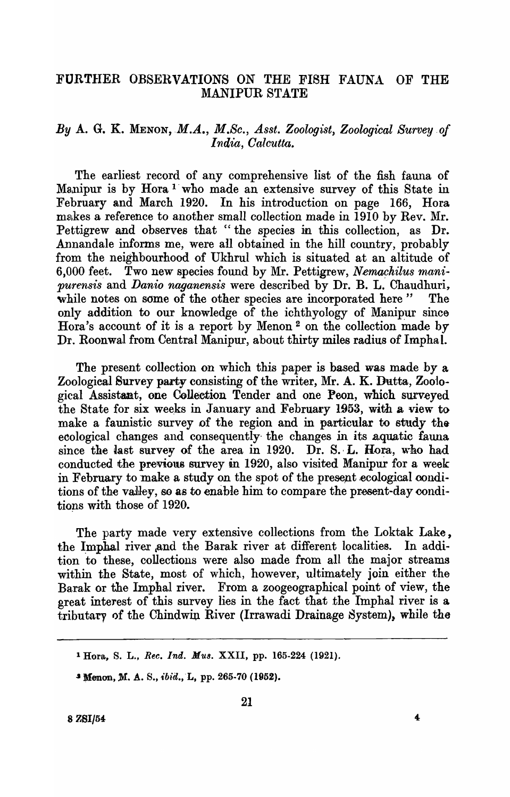# FURTHER OBSERVATIONS ON THE FISH FAUNA OF THE MANIPUR STATE

# By A. G. K. MENON, M.A., M.Sc., Asst. Zoologist, Zoological Survey of *India, Oalcutta.*

The earliest record of any comprehensive list of the fish fauna of Manipur is by Hora<sup>1</sup> who made an extensive survey of this State in February and March 1920. In his introduction on page 166, Hora makes a reference to another small collection made in 1910 by Rev. Mr. Pettigrew and observes that "the species in this collection, as Dr. Annandale informs me, were all obtained in the hill country, probably from the neighbourhood of Ukhrul which is situated at an altitude of 6,000 feet. Two new species found by Mr. Pettigrew, *Nemachilus manipurensis* and *Danio naganensis* were described by Dr. B. L. Chaudhuri, while notes on some of the other species are incorporated here" The only addition to our knowledge of the ichthyology of Manipur since Hora's account of it is a report by Menon <sup>2</sup> on the collection made by Dr. Roonwal from Central Manipur, about thirty miles radius of Imphal.

The present collection on which this paper is based was made by a Zoologieal Survey party consisting of the writer, Mr. A. K. Dutta, Zoological Assistant, one Collection Tender and one Peon, which surveyed the State for six weeks in January and February 1953, with a view to make a faunistic survey of the region and in particular to study the ecological changes and consequently the changes in its aquatic fauna since the last survey of the area in  $1920$ . Dr. S. L. Hora, who had conducted the previous survey in 1920, also visited Manipur for a week in February to make a study on the spot of the present ecological conditions of the valley, so as to enable him to compare the present-day conditions with those of 1920.

The party made very extensive collections from the Loktak Lake, the Imphal river and the Barak river at different localities. In addition to these, collections were also made from all the major streams within the State, most of which, however, ultimately join either the Barak or the Imphal river. From a zoogeographical point of view, the great interest of this survey lies in the fact that the Imphal river is a tributary of the Chindwin River (Irrawadi Drainage System), while the

<sup>1</sup> Hora, S. L., *Ree. Ind. MU8.* XXII, pp. 165-224 (1921).

<sup>&</sup>lt;sup>2</sup> Menon, M. A. S., *ibid.*, L, pp. 265-70 (1952).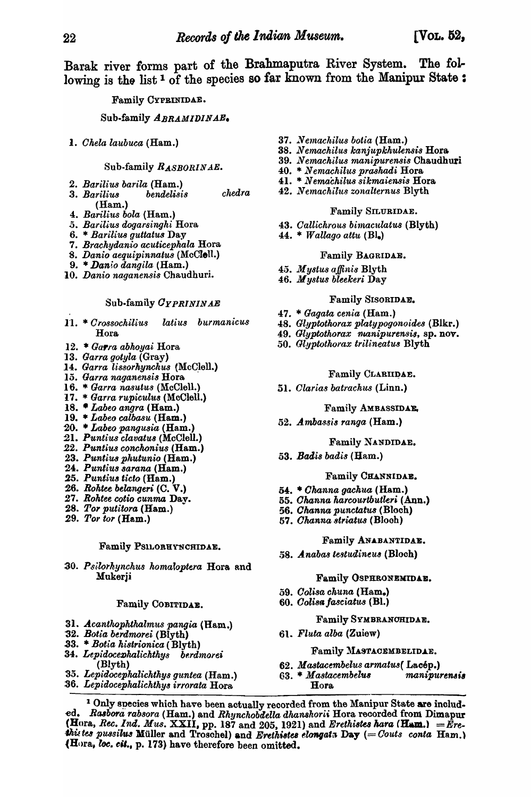Barak river forms part of the Brahmaputra River System. The following is the list<sup>1</sup> of the species so far known from the Manipur State:

## Family CYPRINIDAE.

## Sub.family *ABRAMIDINAB.*

*1. Ghela laubuca* (Ham.)

#### Sub-family *R.ASBORIN AE.*

- *2. Barilius barila* (Ham.)
- *3. Barilius bendelisis chedra*  (Ham.)
- *4. Bariliu8 bola* (Ham.)
- *.5. Barilius dogarsingki* Hora
- 6. \* *Barilius guttatus* Day
- *7. Brackydanio acuticepkala* Bora
- 8. Danio aequipinnatus (McClell.)
- 9. \* *Danio dangila* (Ham.)
- *10. Danio naganensis* Chaudhuri.

#### Sub.family *OYPRININAE*

- 11. \* *Crossochilius latius burmanicus* Hora
- 12. *Garra abkoyai* Hora
- 13. Garra gotyla (Gray)
- 14. Garra lissorhynchus (McClell.)
- 15. *Garra naganensis* Hora
- 16. \* *Garra nasutus* (McClall.)
- 17. \* *Garra rupiculus* (McClell.)
- 18. *Labeo angra* (Ham.)
- 19. *\* Labeo calbasu* (Ham.)
- '20. *Labeo pangusia* (Ham.)
- :21. *Punt ius clavatu8* (McClall.)
- *.22. Puntiu8 conckonius* (Ham.)
- 23. Puntius phutunio (Ham.)
- 24. *Punt'iu88arana* (Ham.)
- *25. Puntiu8 ticto* (Ham.)
- 26. Rohtee belangeri (C. V.)
- 27. Rohtee cotio cunma Day.
- 28. Tor putitora (Ham.)
- *29. Tor tor* (Ham.)

## Family PSILORHYNCHIDAE.

30. Psilorhynchus homaloptera Hora and Mukerji

### Family COBITIDAE.

- *31. Acantkopkthalmus pangia* (Ham.)
- 32. *Botio, bt-rdmorei* (Blyth)
- .33. \* *Bolio, kistrionica* ( Blyth)
- *34. LepidoceZJkalicktkys bf.rdmorei*  (Blyth)
- *'35. Lepidocepkalickthys guntea* (Ham.)
- *:36. LepidocepkalicktkY8 irrorata* Hora
- *37 .... Ve1nacltilu8 botia* (Ham.)
- *38. N e'machilu8 kanjupkkulensis* Hora.
- *39. N emackilus rnanipurensis* Chaudhuri
- 40. \* Nemachilus prashadi Hora
- 41. \* *Nemachilus sikmaiensis* Hora
- *42. N emackil'llJl zonalternu8* Blyth

#### Family SILURIDAE.

- *43. Oallickrous bintaculatus* (Blyth)
- 44. \* *Wallago attu* (BI.)

#### Family BAGRIDAE.

- *45.. M ystus aJfinis* Blyth
- 46. At *ystus bleekeri* Day

#### Family SISORIDAE.

- 47. \* *Gagata cenia* (Ham.)
- 48. *Glyptotkorax platypogonoides* (Blkr.)
- 49. *Glyptothorax nuanipurensis*, sp. nov.
- *50. Glyptotkorax trilineatus* Blyth

## Family CLARIIDAE.

51. *Olarias batracku,s* (Linn.)

#### Family AMBASSIDAE.

*52. Ambassi8 ranga* (Ham.)

### Family NANDIDAE.

*53. Badi8 badi8* (Bam.)

### Family CHANNIDAE.

- 54:. *Ohanna gachua* (Ham.)
- *55. Ohanna harcourtbutleri* (Ann.)
- 56. *Channa punctatus* (Bloch)
- *57. Ohanna striatus* (Blooh)

#### Family ANABANTIDAE.

58. *Anabas testudineus* (Bloch)

#### Family QSPRRONEKIDAB.

- *59. Oolisa ckuna* (Ham.)
- *60. OOli811/a8ciatus* (Bl.)

#### Family SVMBRANOHIDAB.

61. *Fluta alba* (Zuiew)

#### Family MASTACEMBELIDAE.

- 62. *Mastacembelus armatus*(Lacép.)
- 63. \* Mastacembelus manipurensis Bora.

<sup>1</sup> Only species which have been actually recorded from the Manipur State are included. *Rasbora rabsora* (Ham.) and *Rhynchobdella dhanshorii* Hora recorded from Dimapur  $({\bf H}$ ora, *Rec. Ind. Mus.*  ${\bf XXII}$ , pp. 187 and 205, 1921) and *Erethistes hara*  $({\bf H}$ um.)  $=$  *Ere*this tes pussilus Müller and Troschel) and *Erethistes elongata* Day (= *Couts conta* Ham.) (Hora. *l6e. cU.,* p. 173) have therefore been omitted.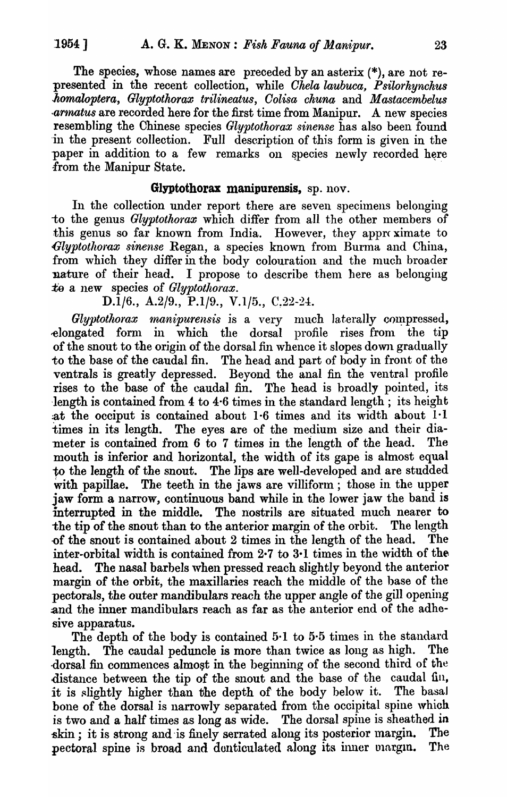The species, whose names are preceded by an asterix (\*), are not represented in the recent collection, while *Ohela laubuca, Psilorhynchus .komaloptera, Glyptothorax trilineatus, Oolisa chuna* and *M astacembelus armatus* are recorded here for the first time from Manipur. A new species resembling the Chinese species *Glyptothorax sinense* has also been found -in the present collection. Full description of this form is given in the paper in addition to a few remarks on species newly recorded here from the Manipur State.

# Glyptothorax manipurensis, sp. nov.

In the collection under report there are seven specimens belonging to the genus *Glyptothorax* which differ from all the other members of this genus so far known from India. However, they approximate to Glyptothorax sinense Regan, a species known from Burma and China, from which they differ in the body colouration and the much broader nature of their head. I propose to describe them here as belonging to a new species of *Glyptothorax*.

D.1/6., A.2/9., P.1/9., V.1/5., C.22-24.

*Glyptothorax manipurensis* is a very much laterally compressed, -elongated fornl in which the dorsal profile rises from the tip of the snout to the origin of the dorsal fin whence it slopes down gradually to the base of the caudal fin. The head and part of body in front of the ventrals is greatly depressed. Beyond the anal fin the ventral profile rises to the base of the caudal fin. The head is broadly pointed, its length is contained from 4 to 4.6 times in the standard length; its height :at the occiput is contained about 1·6 times and its width about 1·1 times in its length. The eyes are of the medium size and their diameter is contained from 6 to 7 times in the length of the head. The mouth is inferior and horizontal, the width of its gape is almost equal to the length of the snout. The lips are well-developed and are studded with papillae. The teeth in the jaws are villiform; those in the upper jaw form a narrow, continuous band while in the lower jaw the band is interrupted in the middle. The nostrils are situated much nearer to the tip of the snout than to the anterior margin of the orbit. The length -of the snout is contained about 2 times in the length of the head. The inter-orbital width is contained from 2.7 to 3.1 times in the width of the head. The nasal barbels when pressed reach slightly beyond the anterior margin of the orbit, the maxillaries reach the middle of the base of the pectorals, the outer mandibulars reach the upper angle of the gill opening and the inner mandibulars reach as far as the anterior end of the adhesive apparatus.

The depth of the body is contained 5·1 to 5·5 times in the standard length. The caudal peduncle is more than twice as long as high. The dorsal fin commences almost in the beginning of the second third of the distance between the tip of the snout and the base of the caudal fin, it is slightly higher than the depth of the body below it. The basal bone of the dorsal is narrowly separated from the occipital spine which is two and a half times as long as wide. The dorsal spine is sheathed in skin; it is strong and is finely serrated along its posterior margin. The pectoral spine is broad and donticulated along its inner margin. The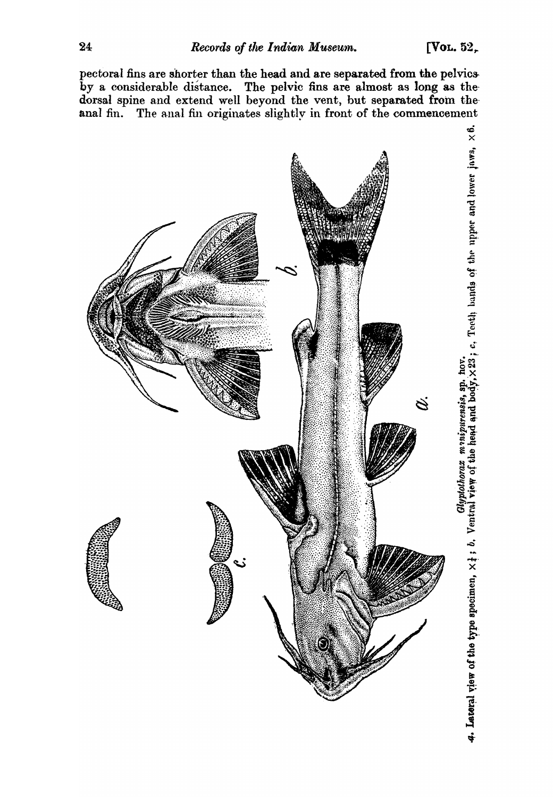pectoral fins are shorter than the head and are separated from the pelvio& by a considerable distance. The pelvic fins are almost as long as thedorsal spine and extend well beyond the vent, but separated from theanal fin. The anal fin originates slightly in front of the commencement

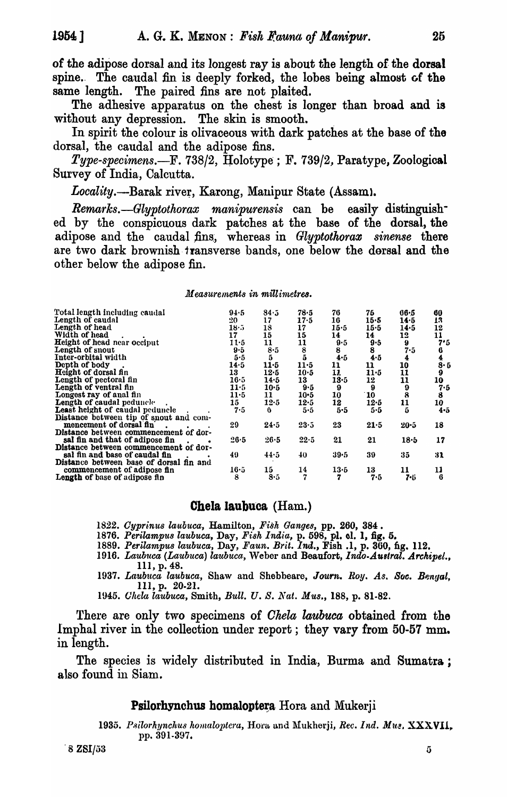of the adipose dorsal and its longest ray is about the length of the dorsal spine. The caudal fin is deeply forked, the lobes being almost of the same length. The paired fins are not plaited.

The adhesive apparatus on the chest is longer than broad and is without any depression. The skin is smooth.

In spirit the colour is olivaceous with dark patches at the base of the dorsal, the caudal and the adipose fins.

*Type-specimens.*—F. 738/2, Holotype; F. 739/2, Paratype, Zoological Survey of India, Calcutta.

*Locality.*—Barak river, Karong, Manipur State (Assam).

*Remarks.—Glyptothorax manipurensis* can be easily distinguished by the conspicuous dark patches at the base of the dorsal, the adipose and the caudal fins, whereas in *Glyptothorax sinense* there are two dark brownish· transverse bands, one below the dorsal and the other below the adipose fin.

## *Measurements in millimetres.*

| Total length including caudal           | 94.5         | 84.5     | 78.5          | 76   | 75      | 66.5                  | 60                          |
|-----------------------------------------|--------------|----------|---------------|------|---------|-----------------------|-----------------------------|
| Length of caudal                        | $20-$        | 17       | 17.5          | 16   | 15.5    | 14.5                  | 13                          |
| Length of head                          | $18 \cdot 5$ | 18       | 17            | 15.5 | 15·5    | 14.5                  | 12                          |
| Width of head                           | 17           | 15       | 15            | 14   | 14      | 12                    | 11                          |
| <b>Height of head near occiput</b>      | $11-5$       | 11       | 11            | 9.5  | $9 - 5$ | 9                     | 7.5                         |
| Length of snout                         | 9.5          | 8.5      |               | 8    | 8       | 7.5                   |                             |
| Inter-orbital width                     | 5.5          | 5.       | $\frac{8}{5}$ | 4.5  | 4.5     | 4                     |                             |
| Depth of body                           | 14.5         | 11.5     | $11-5$        | 11   | 11      | 10                    |                             |
| Height of dorsal fin                    | 13           | 12.5     | $10-5$        | 11.  | $11-5$  | 11                    | $\frac{6}{8}$ .<br>$5$<br>9 |
| Length of pectoral fin                  | 16.5         | 14.5     | 13            | 13.5 | 12      | 11                    | 10                          |
| Length of ventral fin                   | $11-5$       | $10-5$   | 9.5           | 9    | 9       | $\boldsymbol{\theta}$ | 7.5                         |
| Longest ray of anal fin                 | 11.5         | 11       | $10-5$        | 10   | 10      | $\ddot{\mathbf{a}}$   | 8                           |
| Length of caudal peduncle               | 15           | $12 - 5$ | 12.5          | 12   | 12.5    | 11                    | 10                          |
| Least height of caudal peduncle         | 75           | 0        | 5.5           | 5.5  | 5.5     | 5                     | 4.5                         |
| Distance between tip of snout and com-  |              |          |               |      |         |                       |                             |
| mencement of dorsal fin                 | 29           | 24.5     | 23.5          | 23   | 21.5    | $20 - 5$              | 18                          |
|                                         |              |          |               |      |         |                       |                             |
| Distance between commencement of dor-   |              |          |               |      |         |                       |                             |
| sal fin and that of adipose fin         | 26.5         | $26 - 5$ | 22.5          | 21   | 21      | 18.5                  | 17                          |
| Distance between commencement of dor-   |              |          |               |      |         |                       |                             |
| sal fin and base of caudal fin          | 49           | 44.5     | 40            | 39.5 | 39      | 35                    | 31                          |
| Distance between base of dorsal fin and |              |          |               |      |         |                       |                             |
| commencement of adipose fin             | 16.5         | 15       | 14            | 13.5 | 13      | 11                    | $\frac{11}{6}$              |
| Length of base of adipose fin           | 8            | 8.5      | 7             | 7    | 7.5     | でじ                    |                             |
|                                         |              |          |               |      |         |                       |                             |

# Chela laubuca (Ham.)

1822. Cyprinus laubuca, Hamilton, Fish Ganges, pp. 260, 384.

- 1876. Perilampus laubuca, Day, Fish India, p. 598, pl. ol. 1, fig. 5.
- *1889. Perilampu8 laubuca,* Day, *Faun. Brit. Ind.,* Fish .1, p. 360, ftg. 112.
- 1916. Laubuca (Laubuca) laubuca, Weber and Beaufort, *Indo-Austral. Archipel.*, Ill, p. 48.
- 1937. Laubuca laubuca, Shaw and Shebbeare, *Journ. Roy. As. Soc. Bengal*, Ill, p. 20-21.

*1945.* CILda *laubuca,* Smith, *Bull.* U. *S. llat. MU8.,* 188, p. 81-82.

There are only two specimens of *Ohela laubuca* obtained from the Imphal river in the collection under report; they vary from 50-57 mm. in length.

The species is widely distributed in India, Burma and Sumatra; also found in Siam.

## Psilorhynchus homaloptera Hora and Mukerji

1935. Psilorhynchus homaloptera, Hora and Mukherji, *Rec. Ind. Mus.* XXXVII, pp.391-397.